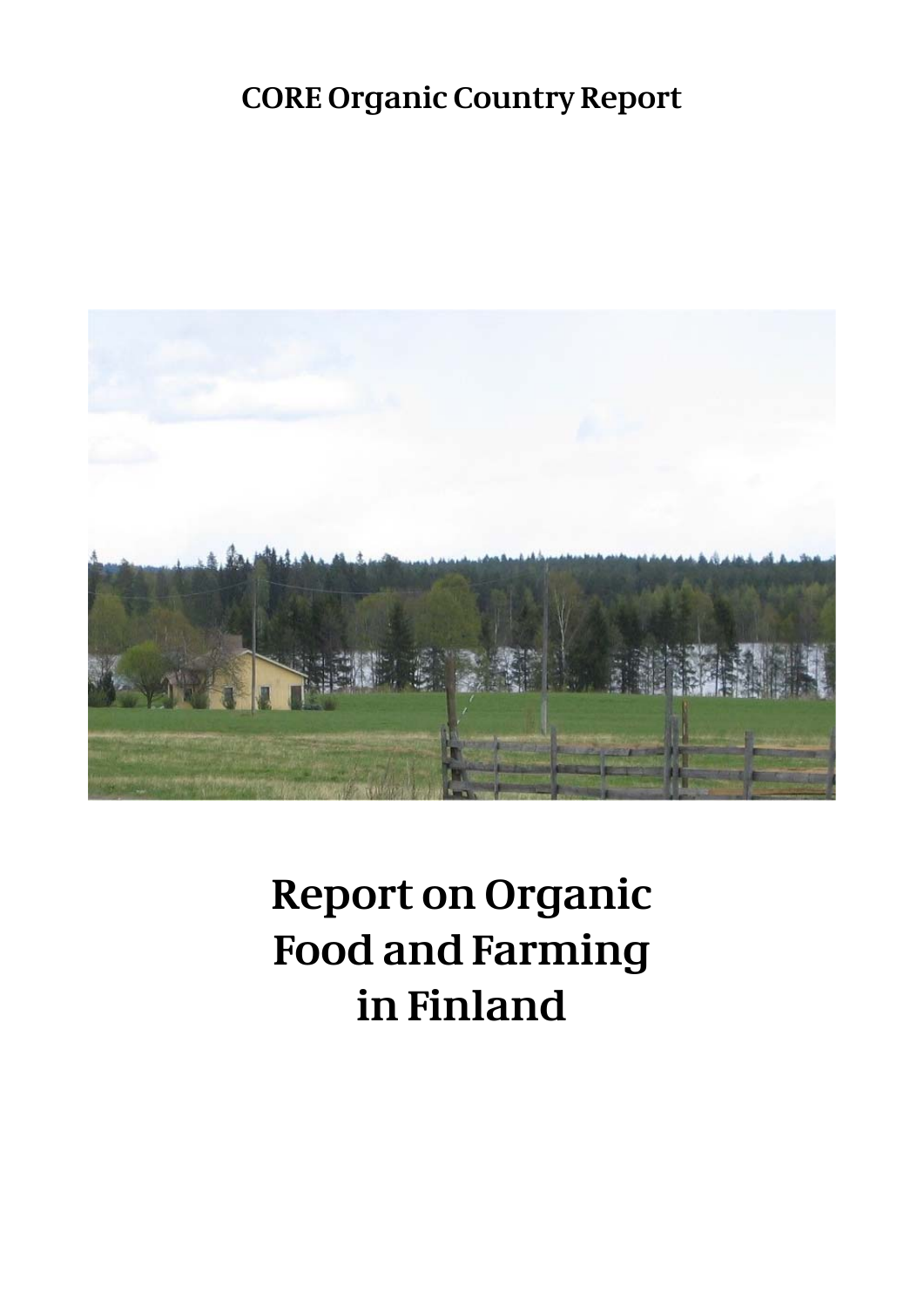# **CORE Organic Country Report**



# **Report on Organic Food and Farming in Finland**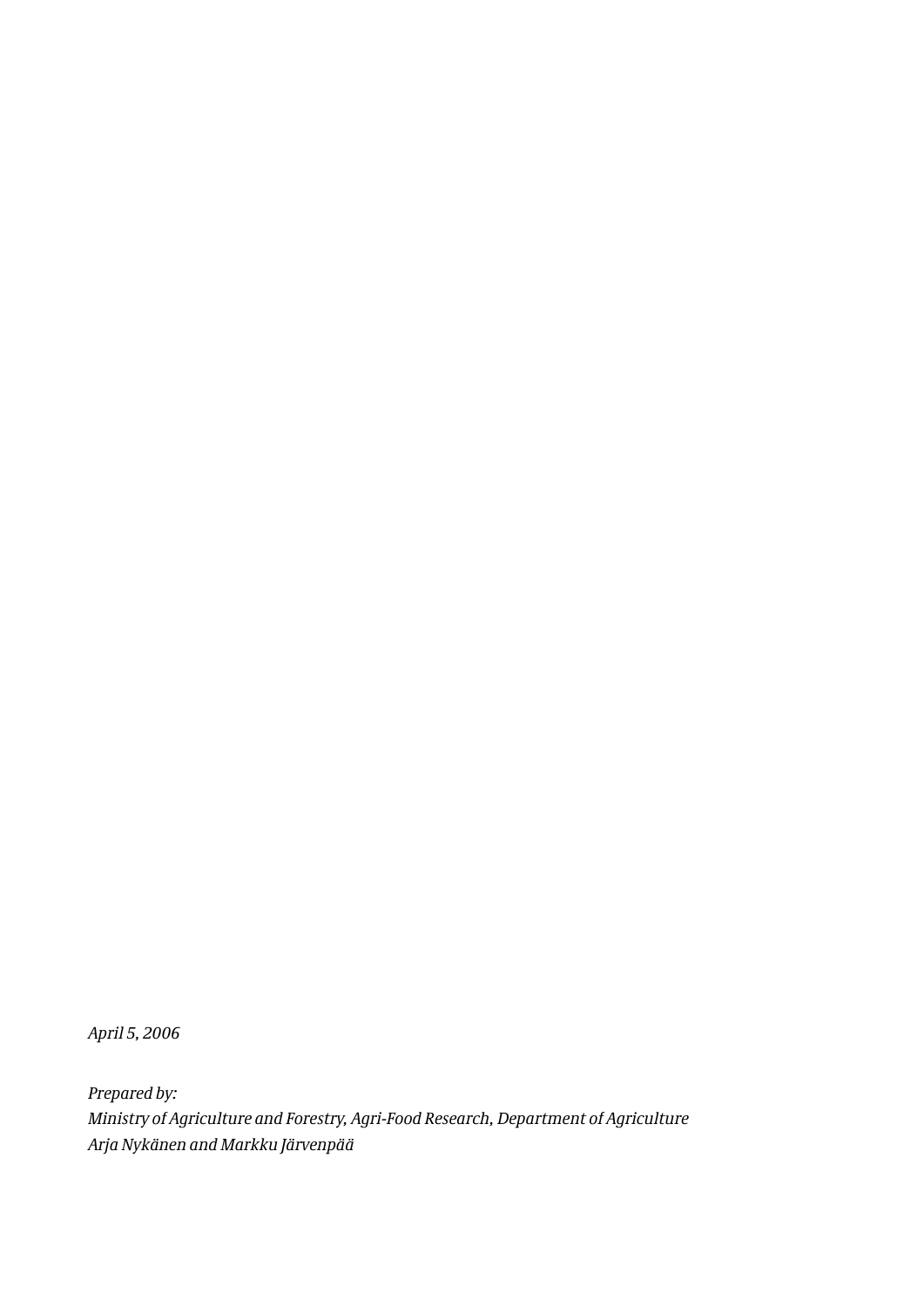*April 5, 2006*

*Prepared by: Ministry of Agriculture and Forestry, Agri-Food Research, Department of Agriculture Arja Nykänen and Markku Järvenpää*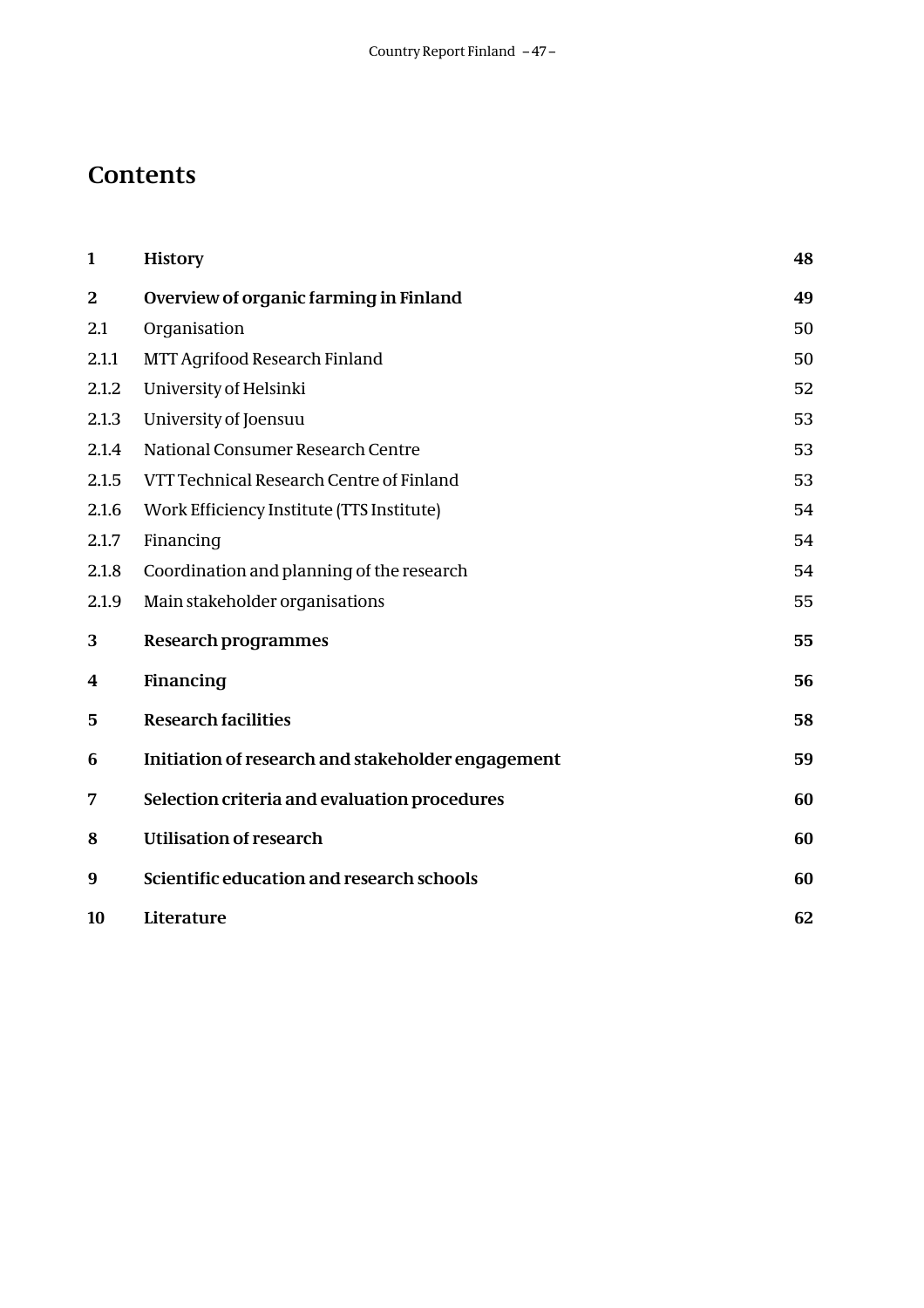# **Contents**

| $\mathbf{1}$            | <b>History</b>                                    | 48 |
|-------------------------|---------------------------------------------------|----|
| $\overline{\mathbf{2}}$ | Overview of organic farming in Finland            | 49 |
| 2.1                     | Organisation                                      | 50 |
| 2.1.1                   | MTT Agrifood Research Finland                     | 50 |
| 2.1.2                   | University of Helsinki                            | 52 |
| 2.1.3                   | University of Joensuu                             | 53 |
| 2.1.4                   | National Consumer Research Centre                 | 53 |
| 2.1.5                   | VTT Technical Research Centre of Finland          | 53 |
| 2.1.6                   | Work Efficiency Institute (TTS Institute)         | 54 |
| 2.1.7                   | Financing                                         | 54 |
| 2.1.8                   | Coordination and planning of the research         | 54 |
| 2.1.9                   | Main stakeholder organisations                    | 55 |
| 3                       | <b>Research programmes</b>                        | 55 |
| 4                       | Financing                                         | 56 |
| 5                       | <b>Research facilities</b>                        | 58 |
| 6                       | Initiation of research and stakeholder engagement | 59 |
| 7                       | Selection criteria and evaluation procedures      | 60 |
| 8                       | <b>Utilisation of research</b>                    | 60 |
| 9                       | Scientific education and research schools         | 60 |
| 10                      | Literature                                        | 62 |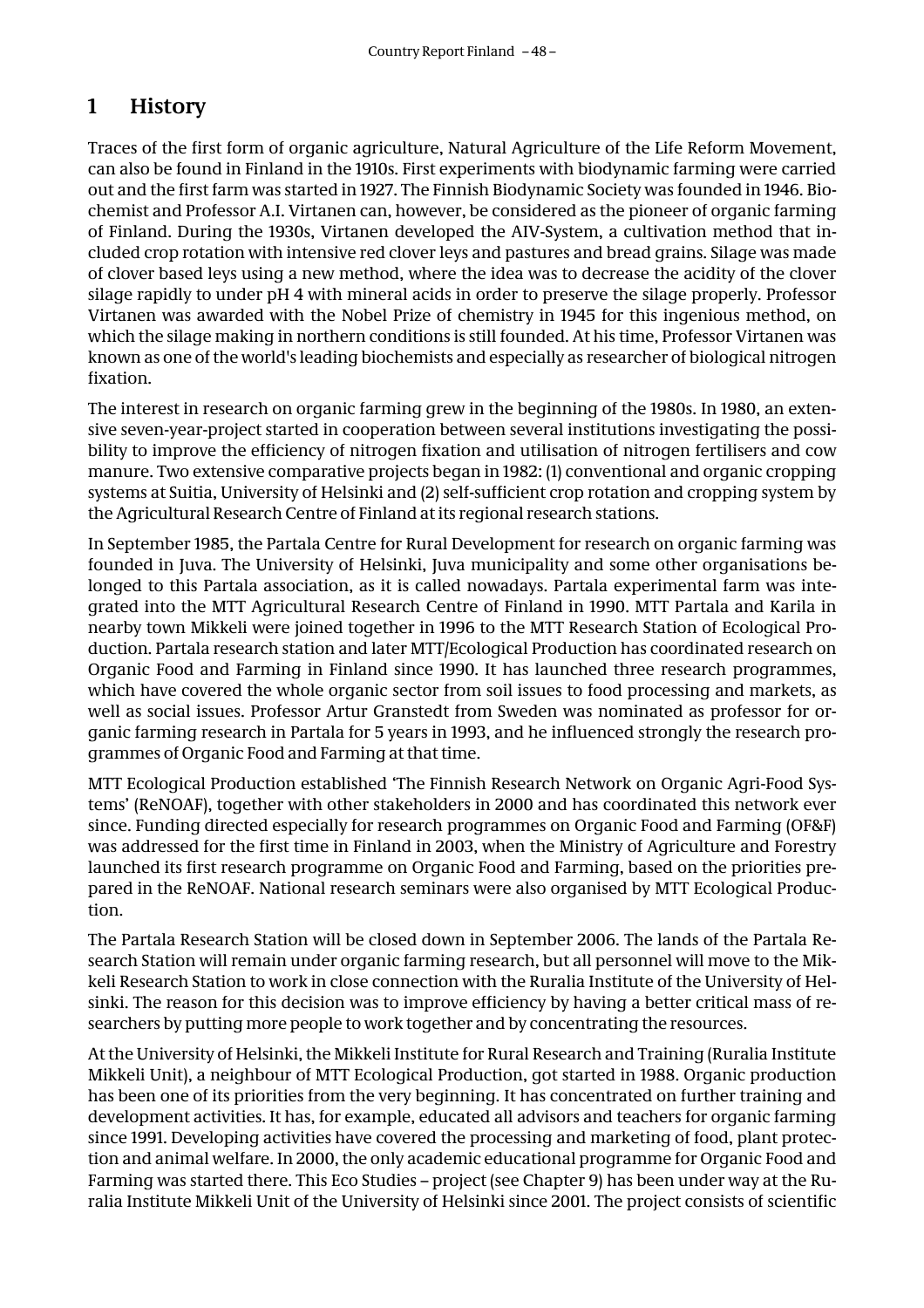## **1 History**

Traces of the first form of organic agriculture, Natural Agriculture of the Life Reform Movement, can also be found in Finland in the 1910s. First experiments with biodynamic farming were carried out and the first farm was started in 1927. The Finnish Biodynamic Society was founded in 1946. Biochemist and Professor A.I. Virtanen can, however, be considered as the pioneer of organic farming of Finland. During the 1930s, Virtanen developed the AIV-System, a cultivation method that included crop rotation with intensive red clover leys and pastures and bread grains. Silage was made of clover based leys using a new method, where the idea was to decrease the acidity of the clover silage rapidly to under pH 4 with mineral acids in order to preserve the silage properly. Professor Virtanen was awarded with the Nobel Prize of chemistry in 1945 for this ingenious method, on which the silage making in northern conditions is still founded. At his time, Professor Virtanen was known as one of the world's leading biochemists and especially as researcher of biological nitrogen fixation.

The interest in research on organic farming grew in the beginning of the 1980s. In 1980, an extensive seven-year-project started in cooperation between several institutions investigating the possibility to improve the efficiency of nitrogen fixation and utilisation of nitrogen fertilisers and cow manure. Two extensive comparative projects began in 1982: (1) conventional and organic cropping systems at Suitia, University of Helsinki and (2) self-sufficient crop rotation and cropping system by the Agricultural Research Centre of Finland at its regional research stations.

In September 1985, the Partala Centre for Rural Development for research on organic farming was founded in Juva. The University of Helsinki, Juva municipality and some other organisations belonged to this Partala association, as it is called nowadays. Partala experimental farm was integrated into the MTT Agricultural Research Centre of Finland in 1990. MTT Partala and Karila in nearby town Mikkeli were joined together in 1996 to the MTT Research Station of Ecological Production. Partala research station and later MTT/Ecological Production has coordinated research on Organic Food and Farming in Finland since 1990. It has launched three research programmes, which have covered the whole organic sector from soil issues to food processing and markets, as well as social issues. Professor Artur Granstedt from Sweden was nominated as professor for organic farming research in Partala for 5 years in 1993, and he influenced strongly the research programmes of Organic Food and Farming at that time.

MTT Ecological Production established 'The Finnish Research Network on Organic Agri-Food Systems' (ReNOAF), together with other stakeholders in 2000 and has coordinated this network ever since. Funding directed especially for research programmes on Organic Food and Farming (OF&F) was addressed for the first time in Finland in 2003, when the Ministry of Agriculture and Forestry launched its first research programme on Organic Food and Farming, based on the priorities prepared in the ReNOAF. National research seminars were also organised by MTT Ecological Production.

The Partala Research Station will be closed down in September 2006. The lands of the Partala Research Station will remain under organic farming research, but all personnel will move to the Mikkeli Research Station to work in close connection with the Ruralia Institute of the University of Helsinki. The reason for this decision was to improve efficiency by having a better critical mass of researchers by putting more people to work together and by concentrating the resources.

At the University of Helsinki, the Mikkeli Institute for Rural Research and Training (Ruralia Institute Mikkeli Unit), a neighbour of MTT Ecological Production, got started in 1988. Organic production has been one of its priorities from the very beginning. It has concentrated on further training and development activities. It has, for example, educated all advisors and teachers for organic farming since 1991. Developing activities have covered the processing and marketing of food, plant protection and animal welfare. In 2000, the only academic educational programme for Organic Food and Farming was started there. This Eco Studies – project (see Chapter 9) has been under way at the Ruralia Institute Mikkeli Unit of the University of Helsinki since 2001. The project consists of scientific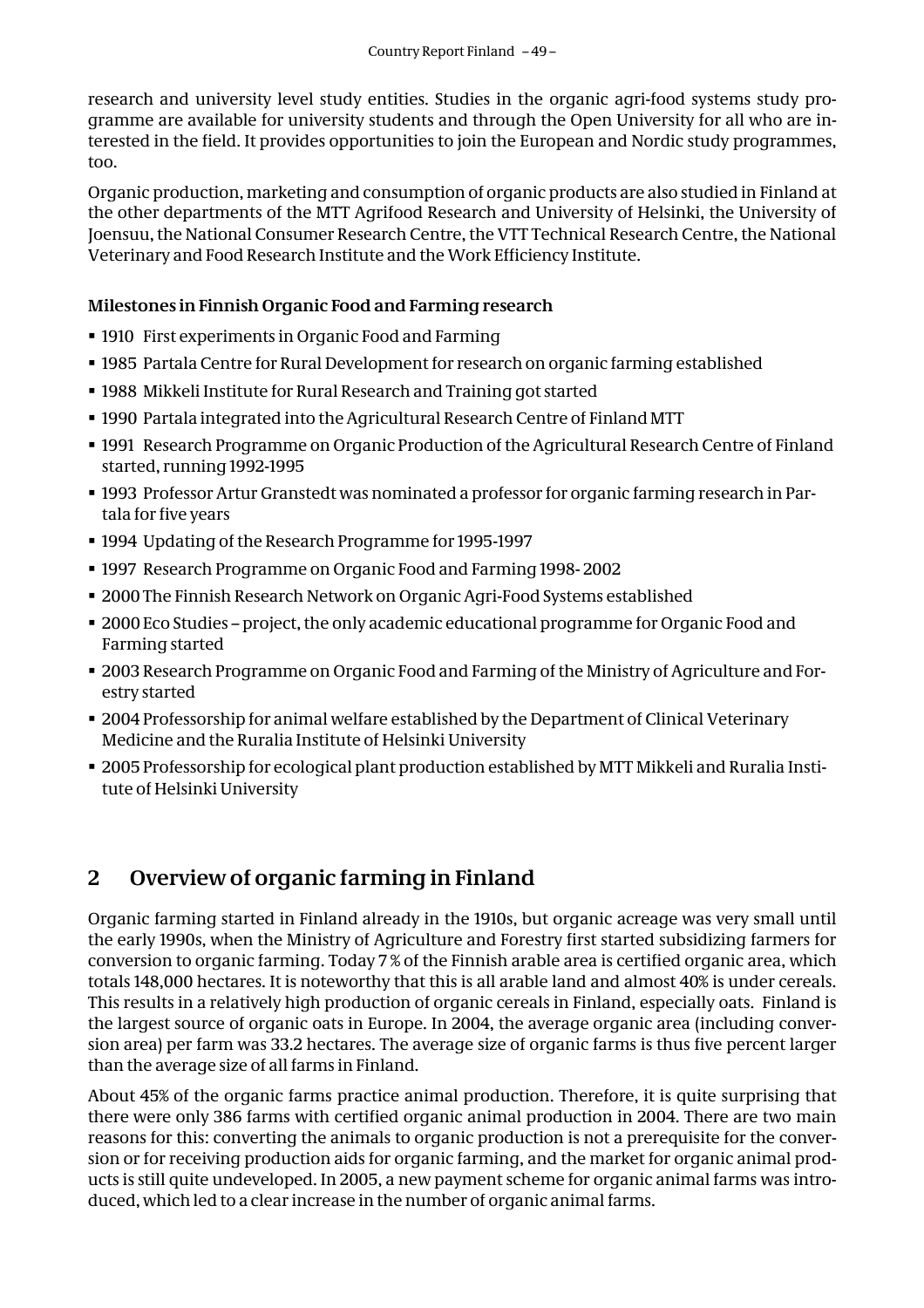research and university level study entities. Studies in the organic agri-food systems study programme are available for university students and through the Open University for all who are interested in the field. It provides opportunities to join the European and Nordic study programmes, too.

Organic production, marketing and consumption of organic products are also studied in Finland at the other departments of the MTT Agrifood Research and University of Helsinki, the University of Joensuu, the National Consumer Research Centre, the VTT Technical Research Centre, the National Veterinary and Food Research Institute and the Work Efficiency Institute.

#### **Milestones in Finnish Organic Food and Farming research**

- 1910 First experiments in Organic Food and Farming
- 1985 Partala Centre for Rural Development for research on organic farming established
- 1988 Mikkeli Institute for Rural Research and Training got started
- $\textcolor{red}{\bullet}$  1990 Partala integrated into the Agricultural Research Centre of Finland MTT
- 1991 Research Programme on Organic Production of the Agricultural Research Centre of Finland started, running 1992-1995
- 1993 Professor Artur Granstedt was nominated a professor for organic farming research in Partala for five years
- 1994 Updating of the Research Programme for 1995-1997
- 1997 Research Programme on Organic Food and Farming 1998- 2002
- 2000 The Finnish Research Network on Organic Agri-Food Systems established
- 2000 Eco Studies project, the only academic educational programme for Organic Food and Farming started
- 2003 Research Programme on Organic Food and Farming of the Ministry of Agriculture and Forestry started
- 2004 Professorship for animal welfare established by the Department of Clinical Veterinary Medicine and the Ruralia Institute of Helsinki University
- 2005 Professorship for ecological plant production established by MTT Mikkeli and Ruralia Institute of Helsinki University

# **2 Overview of organic farming in Finland**

Organic farming started in Finland already in the 1910s, but organic acreage was very small until the early 1990s, when the Ministry of Agriculture and Forestry first started subsidizing farmers for conversion to organic farming. Today 7 % of the Finnish arable area is certified organic area, which totals 148,000 hectares. It is noteworthy that this is all arable land and almost 40% is under cereals. This results in a relatively high production of organic cereals in Finland, especially oats. Finland is the largest source of organic oats in Europe. In 2004, the average organic area (including conversion area) per farm was 33.2 hectares. The average size of organic farms is thus five percent larger than the average size of all farms in Finland.

About 45% of the organic farms practice animal production. Therefore, it is quite surprising that there were only 386 farms with certified organic animal production in 2004. There are two main reasons for this: converting the animals to organic production is not a prerequisite for the conversion or for receiving production aids for organic farming, and the market for organic animal products is still quite undeveloped. In 2005, a new payment scheme for organic animal farms was introduced, which led to a clear increase in the number of organic animal farms.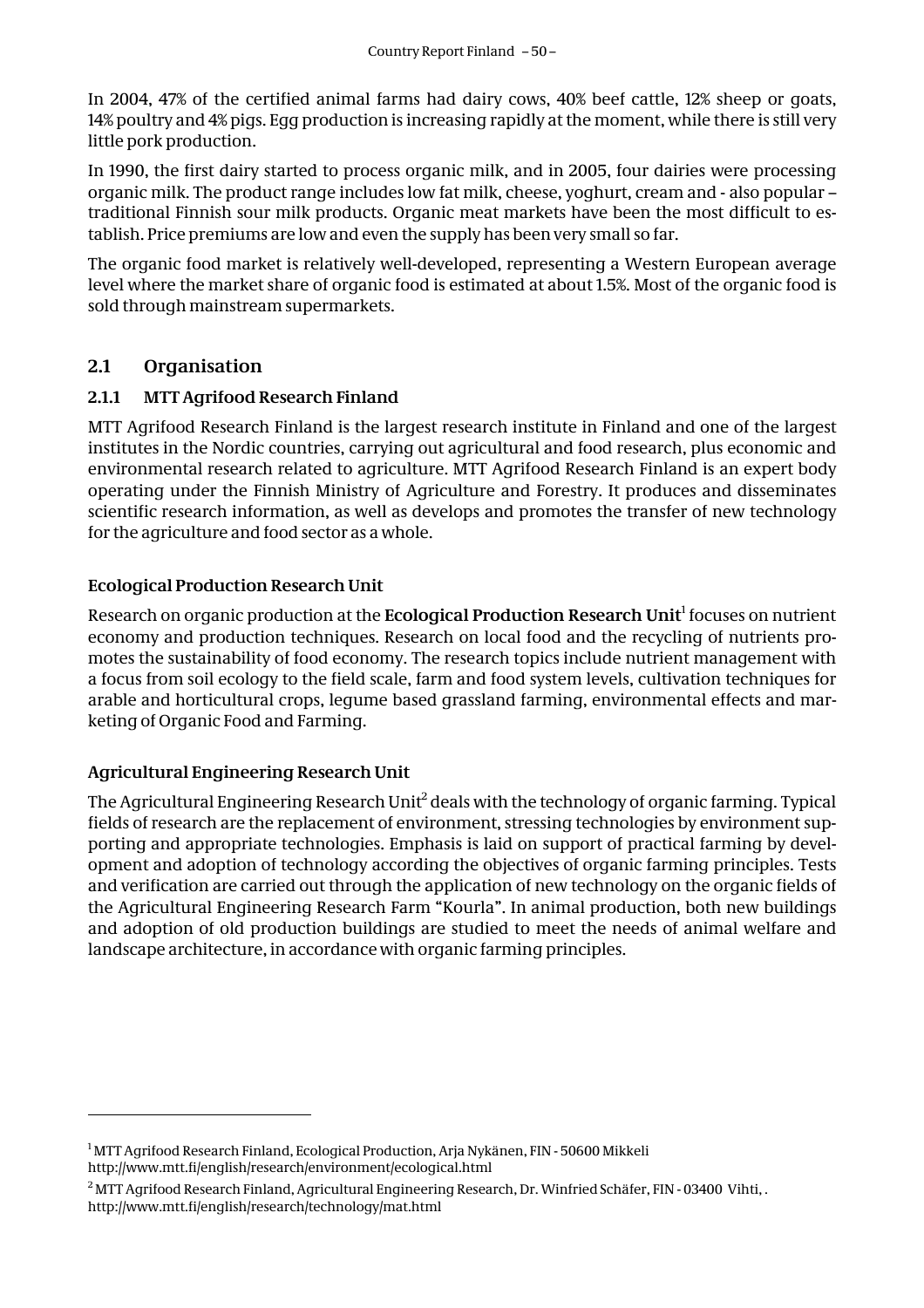In 2004, 47% of the certified animal farms had dairy cows, 40% beef cattle, 12% sheep or goats, 14% poultry and 4% pigs. Egg production is increasing rapidly at the moment, while there is still very little pork production.

In 1990, the first dairy started to process organic milk, and in 2005, four dairies were processing organic milk. The product range includes low fat milk, cheese, yoghurt, cream and - also popular – traditional Finnish sour milk products. Organic meat markets have been the most difficult to establish. Price premiums are low and even the supply has been very small so far.

The organic food market is relatively well-developed, representing a Western European average level where the market share of organic food is estimated at about 1.5%. Most of the organic food is sold through mainstream supermarkets.

#### **2.1 Organisation**

#### **2.1.1 MTT Agrifood Research Finland**

MTT Agrifood Research Finland is the largest research institute in Finland and one of the largest institutes in the Nordic countries, carrying out agricultural and food research, plus economic and environmental research related to agriculture. MTT Agrifood Research Finland is an expert body operating under the Finnish Ministry of Agriculture and Forestry. It produces and disseminates scientific research information, as well as develops and promotes the transfer of new technology for the agriculture and food sector as a whole.

#### **Ecological Production Research Unit**

Research on organic production at the **Ecological Production Research Unit**<sup>1</sup> focuses on nutrient economy and production techniques. Research on local food and the recycling of nutrients promotes the sustainability of food economy. The research topics include nutrient management with a focus from soil ecology to the field scale, farm and food system levels, cultivation techniques for arable and horticultural crops, legume based grassland farming, environmental effects and marketing of Organic Food and Farming.

#### **Agricultural Engineering Research Unit**

The Agricultural Engineering Research Unit $^2$  deals with the technology of organic farming. Typical fields of research are the replacement of environment, stressing technologies by environment supporting and appropriate technologies. Emphasis is laid on support of practical farming by development and adoption of technology according the objectives of organic farming principles. Tests and verification are carried out through the application of new technology on the organic fields of the Agricultural Engineering Research Farm "Kourla". In animal production, both new buildings and adoption of old production buildings are studied to meet the needs of animal welfare and landscape architecture, in accordance with organic farming principles.

<sup>&</sup>lt;sup>1</sup> MTT Agrifood Research Finland, Ecological Production, Arja Nykänen, FIN - 50600 Mikkeli http://www.mtt.fi/english/research/environment/ecological.html

 $^2$ MTT Agrifood Research Finland, Agricultural Engineering Research, Dr. Winfried Schäfer, FIN - 03400 Vihti, . http://www.mtt.fi/english/research/technology/mat.html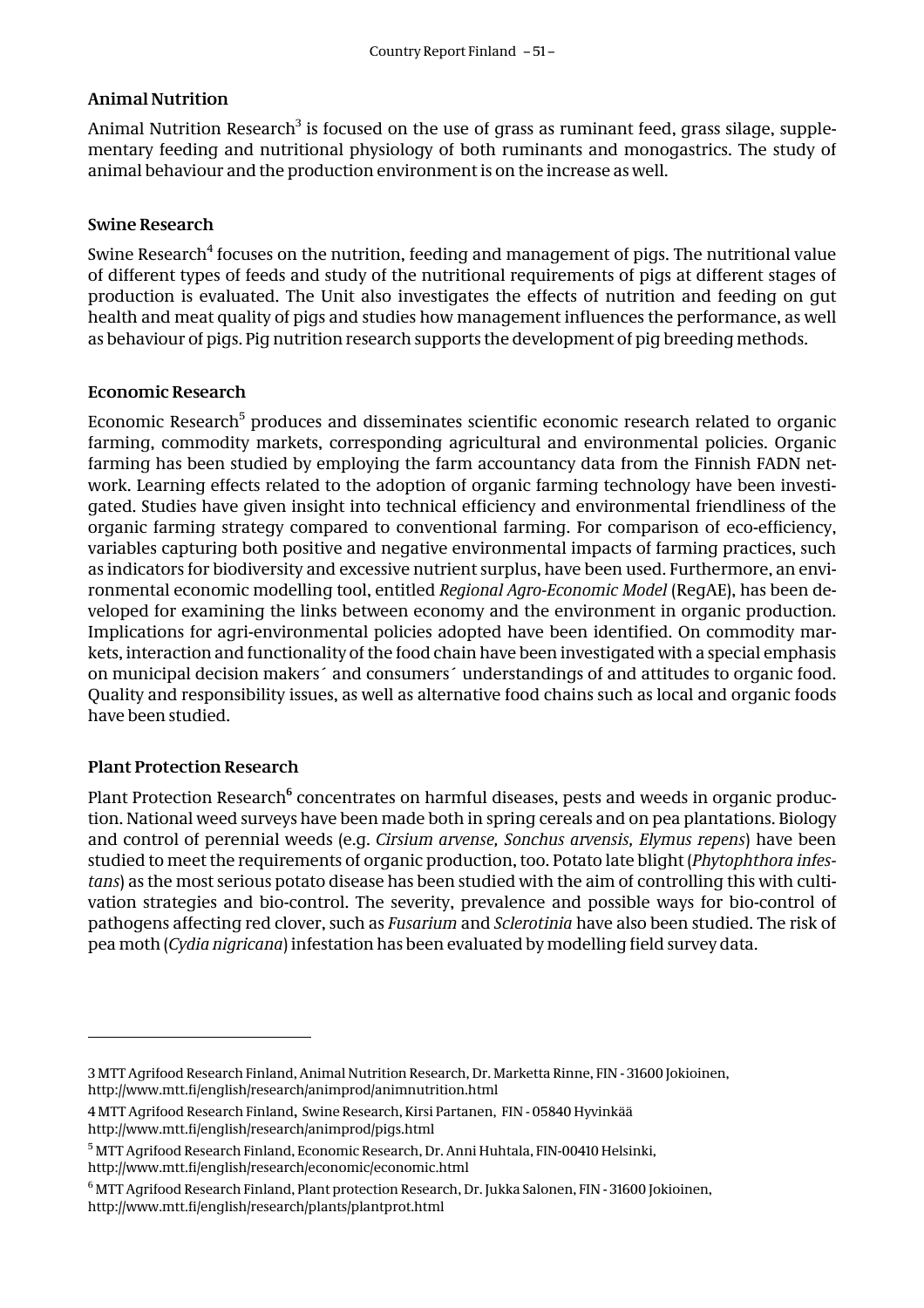#### **Animal Nutrition**

Animal Nutrition Research $^3$  is focused on the use of grass as ruminant feed, grass silage, supplementary feeding and nutritional physiology of both ruminants and monogastrics. The study of animal behaviour and the production environment is on the increase as well.

#### **Swine Research**

Swine Research<sup>4</sup> focuses on the nutrition, feeding and management of pigs. The nutritional value of different types of feeds and study of the nutritional requirements of pigs at different stages of production is evaluated. The Unit also investigates the effects of nutrition and feeding on gut health and meat quality of pigs and studies how management influences the performance, as well as behaviour of pigs. Pig nutrition research supports the development of pig breeding methods.

#### **Economic Research**

Economic Research $^5$  produces and disseminates scientific economic research related to organic farming, commodity markets, corresponding agricultural and environmental policies. Organic farming has been studied by employing the farm accountancy data from the Finnish FADN network. Learning effects related to the adoption of organic farming technology have been investigated. Studies have given insight into technical efficiency and environmental friendliness of the organic farming strategy compared to conventional farming. For comparison of eco-efficiency, variables capturing both positive and negative environmental impacts of farming practices, such as indicators for biodiversity and excessive nutrient surplus, have been used. Furthermore, an environmental economic modelling tool, entitled *Regional Agro-Economic Model* (RegAE), has been developed for examining the links between economy and the environment in organic production. Implications for agri-environmental policies adopted have been identified. On commodity markets, interaction and functionality of the food chain have been investigated with a special emphasis on municipal decision makers´ and consumers´ understandings of and attitudes to organic food. Quality and responsibility issues, as well as alternative food chains such as local and organic foods have been studied.

#### **Plant Protection Research**

 $\overline{a}$ 

Plant Protection Research<sup>6</sup> concentrates on harmful diseases, pests and weeds in organic production. National weed surveys have been made both in spring cereals and on pea plantations. Biology and control of perennial weeds (e.g. *Cirsium arvense, Sonchus arvensis, Elymus repens*) have been studied to meet the requirements of organic production, too. Potato late blight (*Phytophthora infestans*) as the most serious potato disease has been studied with the aim of controlling this with cultivation strategies and bio-control. The severity, prevalence and possible ways for bio-control of pathogens affecting red clover, such as *Fusarium* and *Sclerotinia* have also been studied. The risk of pea moth (*Cydia nigricana*) infestation has been evaluated by modelling field survey data.

<sup>3</sup> MTT Agrifood Research Finland, Animal Nutrition Research, Dr. Marketta Rinne, FIN - 31600 Jokioinen, http://www.mtt.fi/english/research/animprod/animnutrition.html

<sup>4</sup> MTT Agrifood Research Finland**,** Swine Research, Kirsi Partanen,FIN - 05840 Hyvinkää http://www.mtt.fi/english/research/animprod/pigs.html

<sup>&</sup>lt;sup>5</sup> MTT Agrifood Research Finland, Economic Research, Dr. Anni Huhtala, FIN-00410 Helsinki, http://www.mtt.fi/english/research/economic/economic.html

 $^6$  MTT Agrifood Research Finland, Plant protection Research, Dr. Jukka Salonen, FIN - 31600 Jokioinen, http://www.mtt.fi/english/research/plants/plantprot.html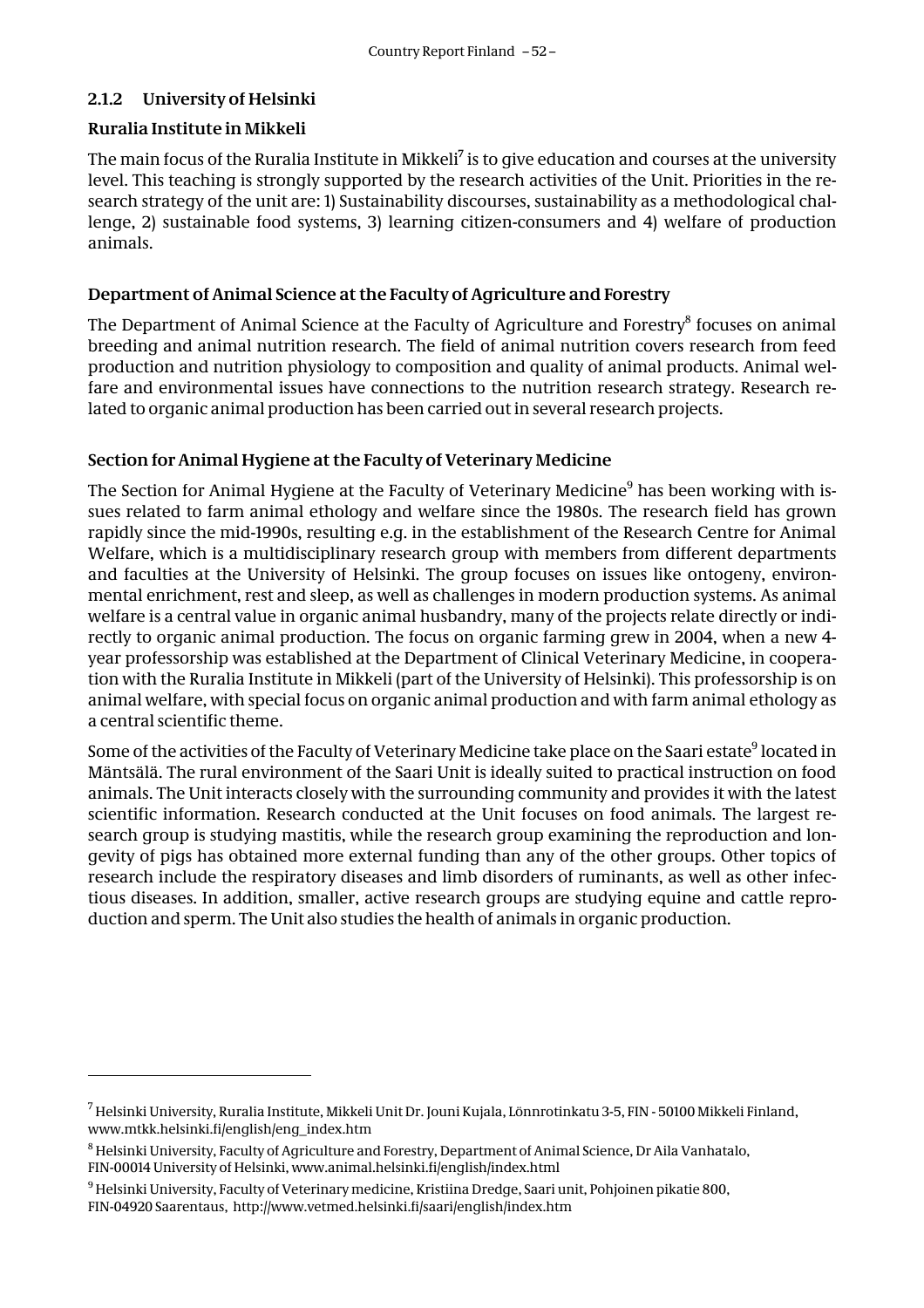#### **2.1.2 University of Helsinki**

#### **Ruralia Institute in Mikkeli**

The main focus of the Ruralia Institute in Mikkeli<sup>7</sup> is to give education and courses at the university level. This teaching is strongly supported by the research activities of the Unit. Priorities in the research strategy of the unit are: 1) Sustainability discourses, sustainability as a methodological challenge, 2) sustainable food systems, 3) learning citizen-consumers and 4) welfare of production animals.

#### **Department of Animal Science at the Faculty of Agriculture and Forestry**

The Department of Animal Science at the Faculty of Agriculture and Forestry $^8$  focuses on animal breeding and animal nutrition research. The field of animal nutrition covers research from feed production and nutrition physiology to composition and quality of animal products. Animal welfare and environmental issues have connections to the nutrition research strategy. Research related to organic animal production has been carried out in several research projects.

#### **Section for Animal Hygiene at the Faculty of Veterinary Medicine**

The Section for Animal Hygiene at the Faculty of Veterinary Medicine<sup>9</sup> has been working with issues related to farm animal ethology and welfare since the 1980s. The research field has grown rapidly since the mid-1990s, resulting e.g. in the establishment of the Research Centre for Animal Welfare, which is a multidisciplinary research group with members from different departments and faculties at the University of Helsinki. The group focuses on issues like ontogeny, environmental enrichment, rest and sleep, as well as challenges in modern production systems. As animal welfare is a central value in organic animal husbandry, many of the projects relate directly or indirectly to organic animal production. The focus on organic farming grew in 2004, when a new 4 year professorship was established at the Department of Clinical Veterinary Medicine, in cooperation with the Ruralia Institute in Mikkeli (part of the University of Helsinki). This professorship is on animal welfare, with special focus on organic animal production and with farm animal ethology as a central scientific theme.

Some of the activities of the Faculty of Veterinary Medicine take place on the Saari estate $^9$  located in Mäntsälä. The rural environment of the Saari Unit is ideally suited to practical instruction on food animals. The Unit interacts closely with the surrounding community and provides it with the latest scientific information. Research conducted at the Unit focuses on food animals. The largest research group is studying mastitis, while the research group examining the reproduction and longevity of pigs has obtained more external funding than any of the other groups. Other topics of research include the respiratory diseases and limb disorders of ruminants, as well as other infectious diseases. In addition, smaller, active research groups are studying equine and cattle reproduction and sperm. The Unit also studies the health of animals in organic production.

<sup>&</sup>lt;sup>7</sup> Helsinki University, Ruralia Institute, Mikkeli Unit Dr. Jouni Kujala, Lönnrotinkatu 3-5, FIN - 50100 Mikkeli Finland, www.mtkk.helsinki.fi/english/eng\_index.htm

 $^8$  Helsinki University, Faculty of Agriculture and Forestry, Department of Animal Science, Dr Aila Vanhatalo, FIN-00014 University of Helsinki, www.animal.helsinki.fi/english/index.html

 $^9$ Helsinki University, Faculty of Veterinary medicine, Kristiina Dredge, Saari unit, Pohjoinen pikatie 800, FIN-04920 Saarentaus, http://www.vetmed.helsinki.fi/saari/english/index.htm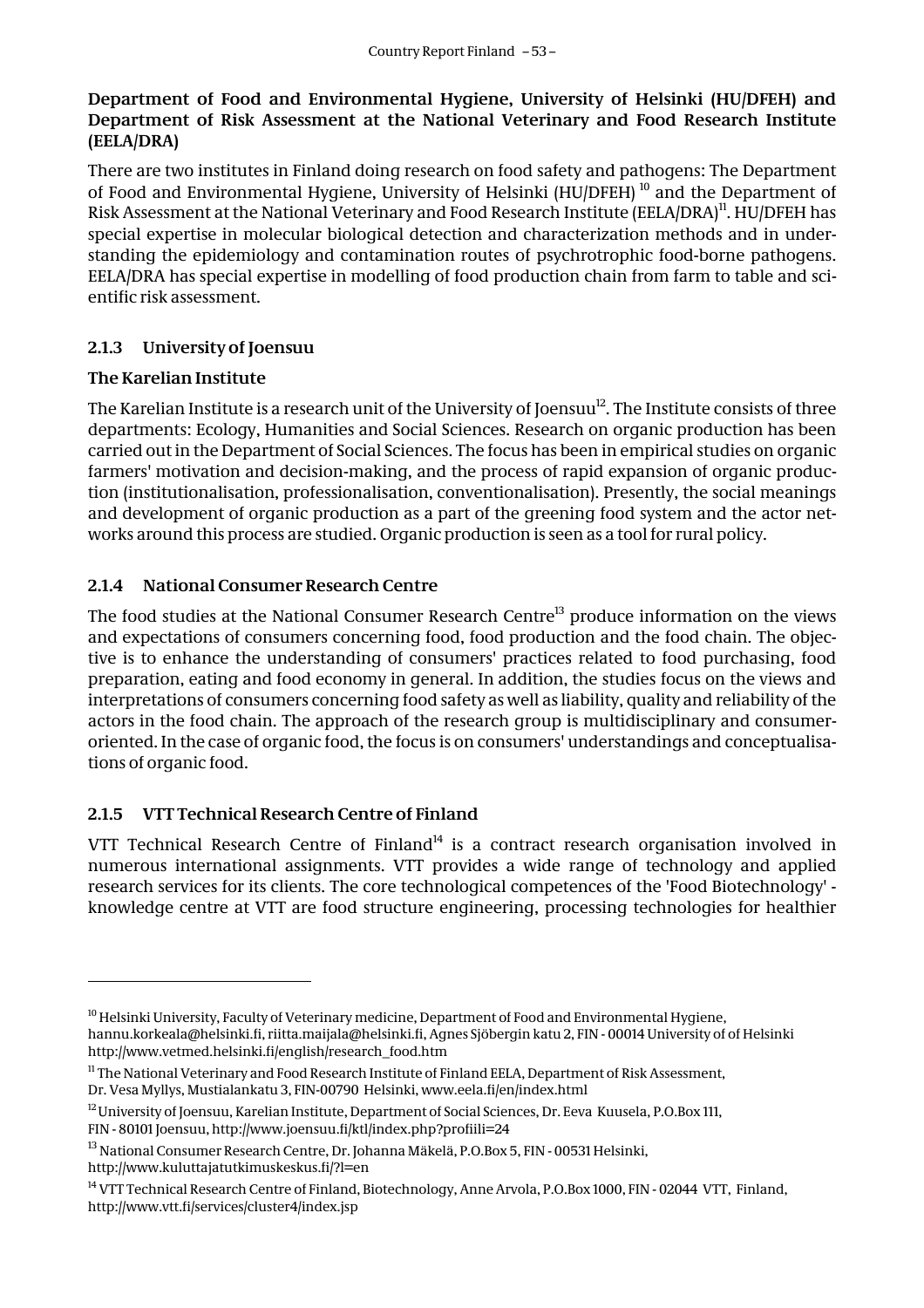#### **Department of Food and Environmental Hygiene, University of Helsinki (HU/DFEH) and Department of Risk Assessment at the National Veterinary and Food Research Institute (EELA/DRA)**

There are two institutes in Finland doing research on food safety and pathogens: The Department of Food and Environmental Hygiene, University of Helsinki (HU/DFEH)<sup>10</sup> and the Department of Risk Assessment at the National Veterinary and Food Research Institute (EELA/DRA)<sup>11</sup>. HU/DFEH has special expertise in molecular biological detection and characterization methods and in understanding the epidemiology and contamination routes of psychrotrophic food-borne pathogens. EELA/DRA has special expertise in modelling of food production chain from farm to table and scientific risk assessment.

#### **2.1.3 University of Joensuu**

#### **The Karelian Institute**

 $\overline{a}$ 

The Karelian Institute is a research unit of the University of Joensuu<sup>12</sup>. The Institute consists of three departments: Ecology, Humanities and Social Sciences. Research on organic production has been carried out in the Department of Social Sciences. The focus has been in empirical studies on organic farmers' motivation and decision-making, and the process of rapid expansion of organic production (institutionalisation, professionalisation, conventionalisation). Presently, the social meanings and development of organic production as a part of the greening food system and the actor networks around this process are studied. Organic production is seen as a tool for rural policy.

#### **2.1.4 National Consumer Research Centre**

The food studies at the National Consumer Research Centre<sup>13</sup> produce information on the views and expectations of consumers concerning food, food production and the food chain. The objective is to enhance the understanding of consumers' practices related to food purchasing, food preparation, eating and food economy in general. In addition, the studies focus on the views and interpretations of consumers concerning food safety as well as liability, quality and reliability of the actors in the food chain. The approach of the research group is multidisciplinary and consumeroriented. In the case of organic food, the focus is on consumers' understandings and conceptualisations of organic food.

#### **2.1.5 VTT Technical Research Centre of Finland**

VTT Technical Research Centre of Finland<sup>14</sup> is a contract research organisation involved in numerous international assignments. VTT provides a wide range of technology and applied research services for its clients. The core technological competences of the 'Food Biotechnology' knowledge centre at VTT are food structure engineering, processing technologies for healthier

<sup>&</sup>lt;sup>10</sup> Helsinki University, Faculty of Veterinary medicine, Department of Food and Environmental Hygiene, hannu.korkeala@helsinki.fi, riitta.maijala@helsinki.fi, Agnes Sjöbergin katu 2, FIN - 00014 University of of Helsinki http://www.vetmed.helsinki.fi/english/research\_food.htm

<sup>&</sup>lt;sup>11</sup> The National Veterinary and Food Research Institute of Finland EELA, Department of Risk Assessment, Dr. Vesa Myllys, Mustialankatu 3, FIN-00790 Helsinki, www.eela.fi/en/index.html

<sup>12</sup> University of Joensuu, Karelian Institute, Department of Social Sciences, Dr. Eeva Kuusela, P.O.Box 111, FIN - 80101 Joensuu, http://www.joensuu.fi/ktl/index.php?profiili=24

<sup>13</sup> National Consumer Research Centre, Dr. Johanna Mäkelä, P.O.Box 5, FIN - 00531 Helsinki, http://www.kuluttajatutkimuskeskus.fi/?l=en

<sup>&</sup>lt;sup>14</sup> VTT Technical Research Centre of Finland, Biotechnology, Anne Arvola, P.O.Box 1000, FIN - 02044 VTT, Finland, http://www.vtt.fi/services/cluster4/index.jsp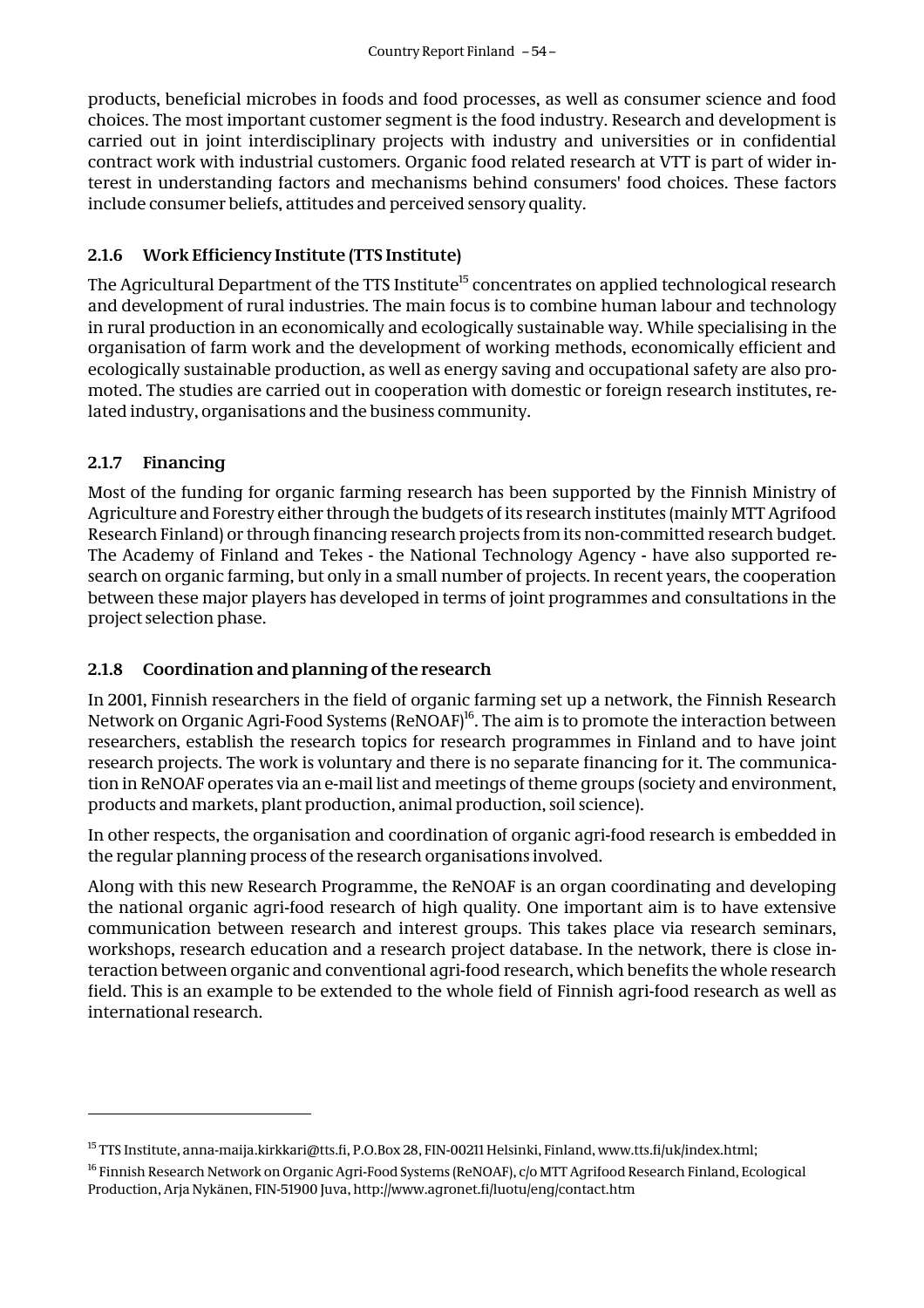products, beneficial microbes in foods and food processes, as well as consumer science and food choices. The most important customer segment is the food industry. Research and development is carried out in joint interdisciplinary projects with industry and universities or in confidential contract work with industrial customers. Organic food related research at VTT is part of wider interest in understanding factors and mechanisms behind consumers' food choices. These factors include consumer beliefs, attitudes and perceived sensory quality.

#### **2.1.6 Work Efficiency Institute (TTS Institute)**

The Agricultural Department of the TTS Institute<sup>15</sup> concentrates on applied technological research and development of rural industries. The main focus is to combine human labour and technology in rural production in an economically and ecologically sustainable way. While specialising in the organisation of farm work and the development of working methods, economically efficient and ecologically sustainable production, as well as energy saving and occupational safety are also promoted. The studies are carried out in cooperation with domestic or foreign research institutes, related industry, organisations and the business community.

#### **2.1.7 Financing**

 $\overline{a}$ 

Most of the funding for organic farming research has been supported by the Finnish Ministry of Agriculture and Forestry either through the budgets of its research institutes (mainly MTT Agrifood Research Finland) or through financing research projects from its non-committed research budget. The Academy of Finland and Tekes - the National Technology Agency - have also supported research on organic farming, but only in a small number of projects. In recent years, the cooperation between these major players has developed in terms of joint programmes and consultations in the project selection phase.

#### **2.1.8 Coordination and planning of the research**

In 2001, Finnish researchers in the field of organic farming set up a network, the Finnish Research Network on Organic Agri-Food Systems (ReNOAF)<sup>16</sup>. The aim is to promote the interaction between researchers, establish the research topics for research programmes in Finland and to have joint research projects. The work is voluntary and there is no separate financing for it. The communication in ReNOAF operates via an e-mail list and meetings of theme groups (society and environment, products and markets, plant production, animal production, soil science).

In other respects, the organisation and coordination of organic agri-food research is embedded in the regular planning process of the research organisations involved.

Along with this new Research Programme, the ReNOAF is an organ coordinating and developing the national organic agri-food research of high quality. One important aim is to have extensive communication between research and interest groups. This takes place via research seminars, workshops, research education and a research project database. In the network, there is close interaction between organic and conventional agri-food research, which benefits the whole research field. This is an example to be extended to the whole field of Finnish agri-food research as well as international research.

<sup>&</sup>lt;sup>15</sup> TTS Institute, anna-maija.kirkkari@tts.fi, P.O.Box 28, FIN-00211 Helsinki, Finland, www.tts.fi/uk/index.html;

<sup>16</sup> Finnish Research Network on Organic Agri-Food Systems (ReNOAF), c/o MTT Agrifood Research Finland, Ecological Production, Arja Nykänen, FIN-51900 Juva, http://www.agronet.fi/luotu/eng/contact.htm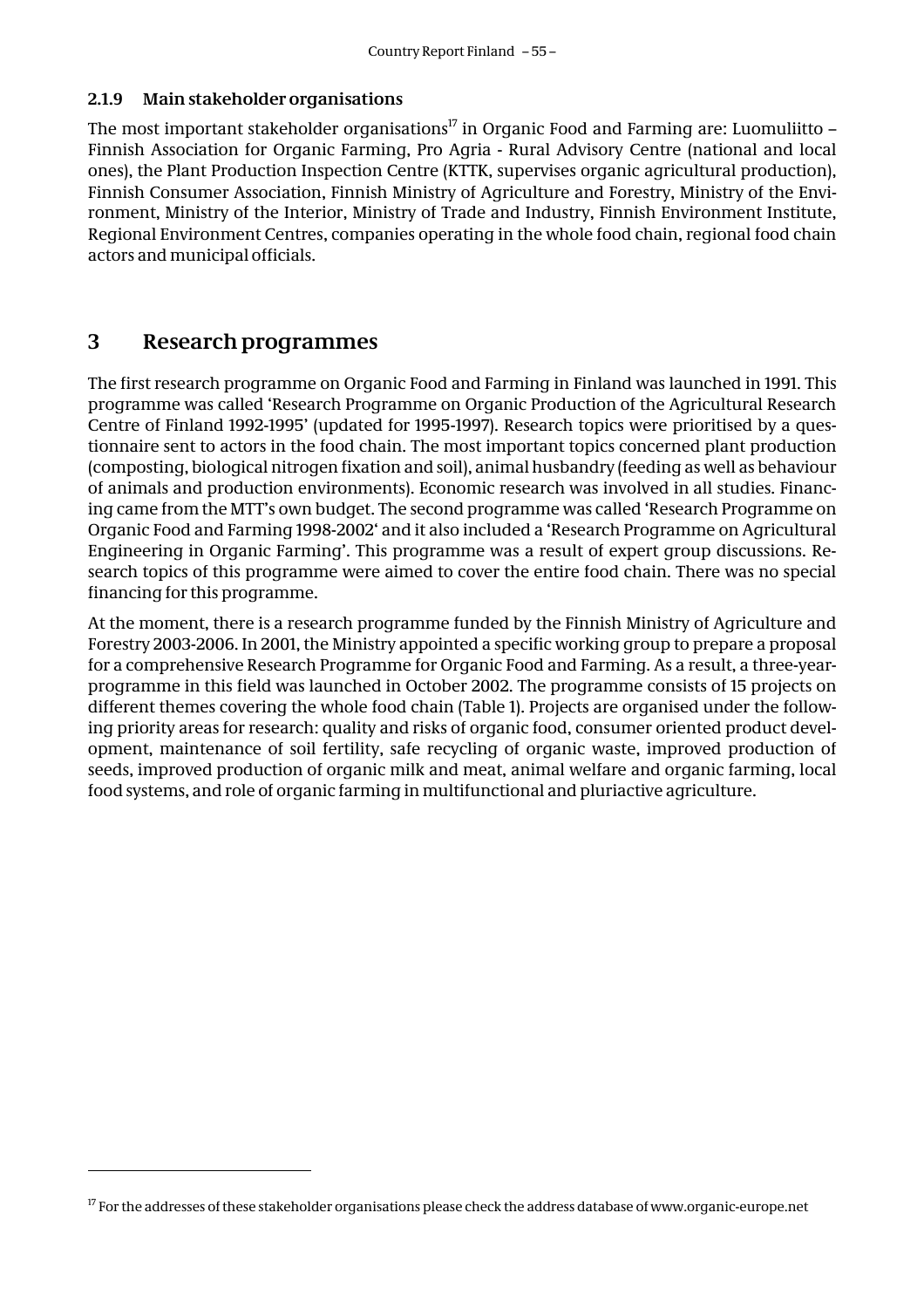#### **2.1.9 Main stakeholder organisations**

The most important stakeholder organisations<sup>17</sup> in Organic Food and Farming are: Luomuliitto – Finnish Association for Organic Farming, Pro Agria - Rural Advisory Centre (national and local ones), the Plant Production Inspection Centre (KTTK, supervises organic agricultural production), Finnish Consumer Association, Finnish Ministry of Agriculture and Forestry, Ministry of the Environment, Ministry of the Interior, Ministry of Trade and Industry, Finnish Environment Institute, Regional Environment Centres, companies operating in the whole food chain, regional food chain actors and municipal officials.

#### **3 Research programmes**

The first research programme on Organic Food and Farming in Finland was launched in 1991. This programme was called 'Research Programme on Organic Production of the Agricultural Research Centre of Finland 1992-1995' (updated for 1995-1997). Research topics were prioritised by a questionnaire sent to actors in the food chain. The most important topics concerned plant production (composting, biological nitrogen fixation and soil), animal husbandry (feeding as well as behaviour of animals and production environments). Economic research was involved in all studies. Financing came from the MTT's own budget. The second programme was called 'Research Programme on Organic Food and Farming 1998-2002' and it also included a 'Research Programme on Agricultural Engineering in Organic Farming'. This programme was a result of expert group discussions. Research topics of this programme were aimed to cover the entire food chain. There was no special financing for this programme.

At the moment, there is a research programme funded by the Finnish Ministry of Agriculture and Forestry 2003-2006. In 2001, the Ministry appointed a specific working group to prepare a proposal for a comprehensive Research Programme for Organic Food and Farming. As a result, a three-yearprogramme in this field was launched in October 2002. The programme consists of 15 projects on different themes covering the whole food chain (Table 1). Projects are organised under the following priority areas for research: quality and risks of organic food, consumer oriented product development, maintenance of soil fertility, safe recycling of organic waste, improved production of seeds, improved production of organic milk and meat, animal welfare and organic farming, local food systems, and role of organic farming in multifunctional and pluriactive agriculture.

<sup>&</sup>lt;sup>17</sup> For the addresses of these stakeholder organisations please check the address database of www.organic-europe.net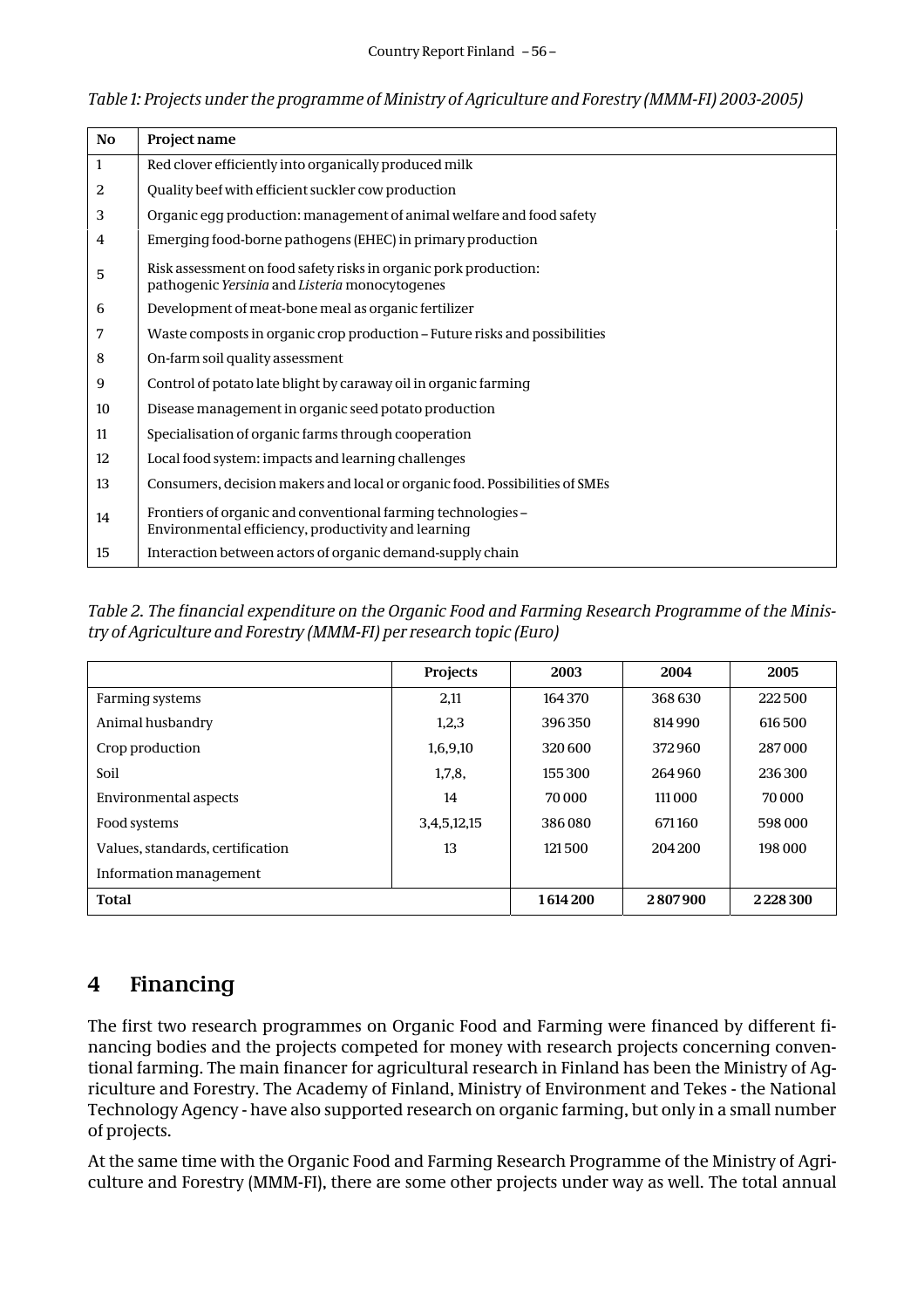| <b>No</b> | Project name                                                                                                        |
|-----------|---------------------------------------------------------------------------------------------------------------------|
| 1         | Red clover efficiently into organically produced milk                                                               |
| 2         | Quality beef with efficient suckler cow production                                                                  |
| 3         | Organic egg production: management of animal welfare and food safety                                                |
| 4         | Emerging food-borne pathogens (EHEC) in primary production                                                          |
| 5         | Risk assessment on food safety risks in organic pork production:<br>pathogenic Yersinia and Listeria monocytogenes  |
| 6         | Development of meat-bone meal as organic fertilizer                                                                 |
| 7         | Waste composts in organic crop production – Future risks and possibilities                                          |
| 8         | On-farm soil quality assessment                                                                                     |
| 9         | Control of potato late blight by caraway oil in organic farming                                                     |
| 10        | Disease management in organic seed potato production                                                                |
| 11        | Specialisation of organic farms through cooperation                                                                 |
| 12        | Local food system: impacts and learning challenges                                                                  |
| 13        | Consumers, decision makers and local or organic food. Possibilities of SMEs                                         |
| 14        | Frontiers of organic and conventional farming technologies -<br>Environmental efficiency, productivity and learning |
| 15        | Interaction between actors of organic demand-supply chain                                                           |

*Table 1: Projects under the programme of Ministry of Agriculture and Forestry (MMM-FI) 2003-2005)*

*Table 2. The financial expenditure on the Organic Food and Farming Research Programme of the Ministry of Agriculture and Forestry (MMM-FI) per research topic (Euro)*

|                                  | Projects    | 2003    | 2004    | 2005    |
|----------------------------------|-------------|---------|---------|---------|
| Farming systems                  | 2,11        | 164370  | 368 630 | 222500  |
| Animal husbandry                 | 1,2,3       | 396350  | 814990  | 616500  |
| Crop production                  | 1,6,9,10    | 320600  | 372960  | 287000  |
| Soil                             | 1,7,8       | 155300  | 264960  | 236300  |
| Environmental aspects            | 14          | 70 000  | 111 000 | 70 000  |
| Food systems                     | 3,4,5,12,15 | 386080  | 671160  | 598 000 |
| Values, standards, certification | 13          | 121500  | 204 200 | 198 000 |
| Information management           |             |         |         |         |
| <b>Total</b>                     |             | 1614200 | 2807900 | 2228300 |

# **4 Financing**

The first two research programmes on Organic Food and Farming were financed by different financing bodies and the projects competed for money with research projects concerning conventional farming. The main financer for agricultural research in Finland has been the Ministry of Agriculture and Forestry. The Academy of Finland, Ministry of Environment and Tekes - the National Technology Agency - have also supported research on organic farming, but only in a small number of projects.

At the same time with the Organic Food and Farming Research Programme of the Ministry of Agriculture and Forestry (MMM-FI), there are some other projects under way as well. The total annual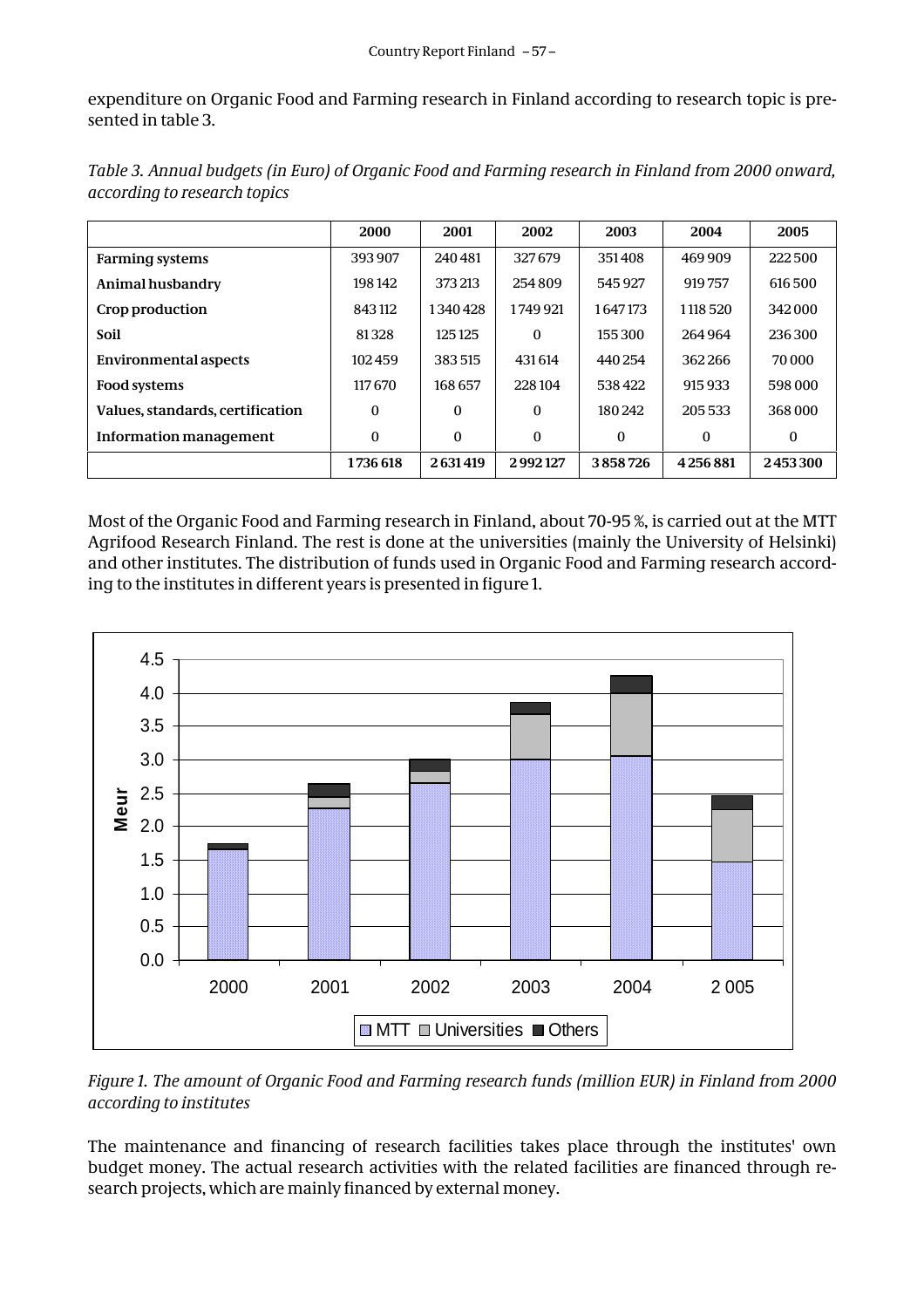expenditure on Organic Food and Farming research in Finland according to research topic is presented in table 3.

|                                  | 2000     | 2001     | 2002     | 2003     | 2004     | 2005     |
|----------------------------------|----------|----------|----------|----------|----------|----------|
| <b>Farming systems</b>           | 393907   | 240481   | 327679   | 351408   | 469909   | 222 500  |
| Animal husbandry                 | 198142   | 373 213  | 254809   | 545927   | 919757   | 616500   |
| Crop production                  | 843112   | 1340428  | 1749 921 | 1647173  | 1118 520 | 342000   |
| Soil                             | 81328    | 125125   | $\theta$ | 155300   | 264964   | 236300   |
| <b>Environmental aspects</b>     | 102459   | 383515   | 431614   | 440254   | 362266   | 70 000   |
| Food systems                     | 117670   | 168 657  | 228104   | 538422   | 915 933  | 598 000  |
| Values, standards, certification | $\bf{0}$ | $\Omega$ | $\Omega$ | 180242   | 205 533  | 368 000  |
| Information management           | $\bf{0}$ | $\Omega$ | $\Omega$ | $\theta$ | 0        | $\Omega$ |
|                                  | 1736 618 | 2631419  | 2992127  | 3858726  | 4256881  | 2453300  |

*Table 3. Annual budgets (in Euro) of Organic Food and Farming research in Finland from 2000 onward, according to research topics*

Most of the Organic Food and Farming research in Finland, about 70-95 %, is carried out at the MTT Agrifood Research Finland. The rest is done at the universities (mainly the University of Helsinki) and other institutes. The distribution of funds used in Organic Food and Farming research according to the institutes in different years is presented in figure 1.



*Figure 1. The amount of Organic Food and Farming research funds (million EUR) in Finland from 2000 according to institutes*

The maintenance and financing of research facilities takes place through the institutes' own budget money. The actual research activities with the related facilities are financed through research projects, which are mainly financed by external money.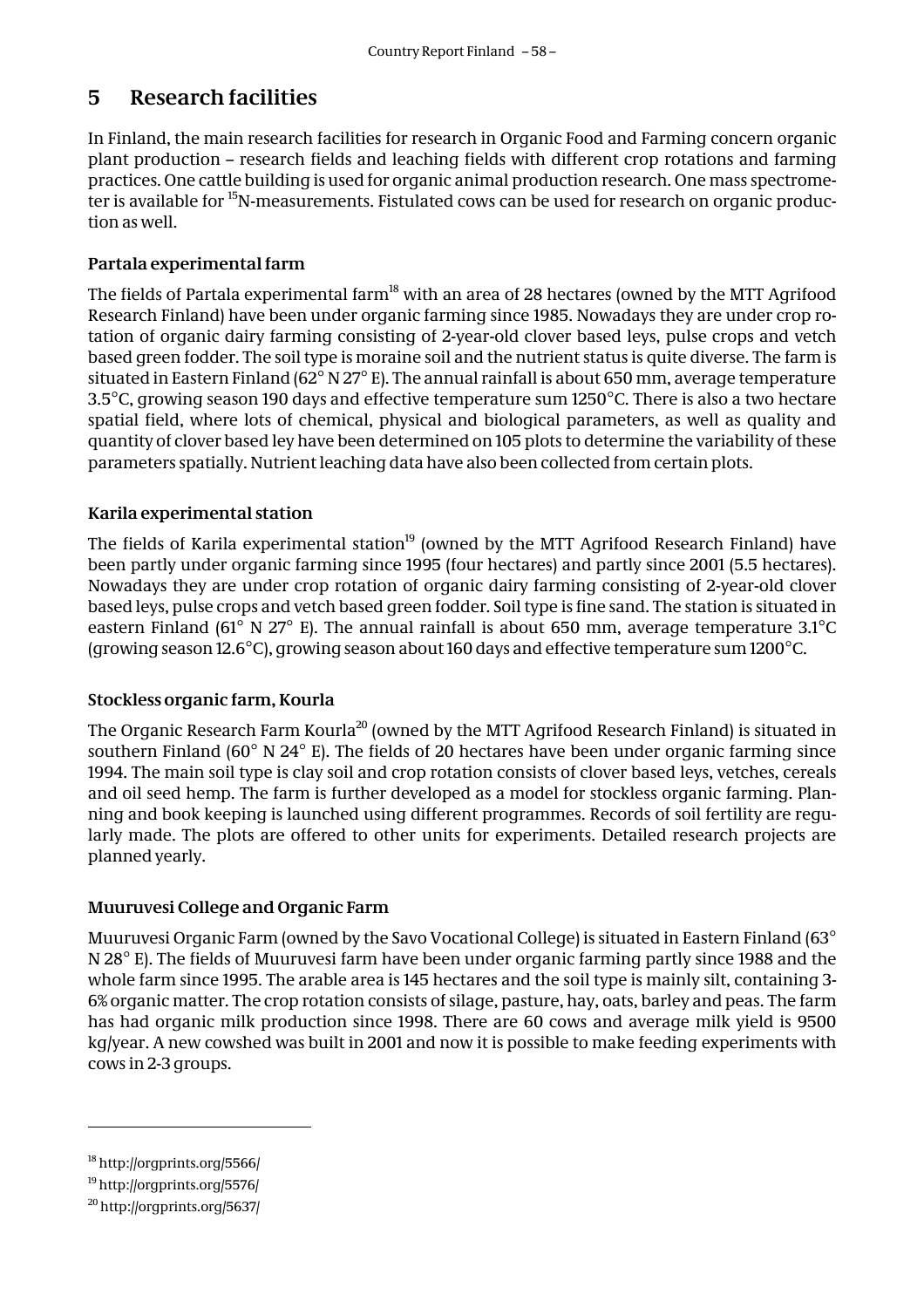# **5 Research facilities**

In Finland, the main research facilities for research in Organic Food and Farming concern organic plant production – research fields and leaching fields with different crop rotations and farming practices. One cattle building is used for organic animal production research. One mass spectrometer is available for <sup>15</sup>N-measurements. Fistulated cows can be used for research on organic production as well.

#### **Partala experimental farm**

The fields of Partala experimental farm<sup>18</sup> with an area of 28 hectares (owned by the MTT Agrifood Research Finland) have been under organic farming since 1985. Nowadays they are under crop rotation of organic dairy farming consisting of 2-year-old clover based leys, pulse crops and vetch based green fodder. The soil type is moraine soil and the nutrient status is quite diverse. The farm is situated in Eastern Finland (62 $^{\circ}$  N 27 $^{\circ}$  E). The annual rainfall is about 650 mm, average temperature 3.5°C, growing season 190 days and effective temperature sum 1250°C. There is also a two hectare spatial field, where lots of chemical, physical and biological parameters, as well as quality and quantity of clover based ley have been determined on 105 plots to determine the variability of these parameters spatially. Nutrient leaching data have also been collected from certain plots.

#### **Karila experimental station**

The fields of Karila experimental station<sup>19</sup> (owned by the MTT Agrifood Research Finland) have been partly under organic farming since 1995 (four hectares) and partly since 2001 (5.5 hectares). Nowadays they are under crop rotation of organic dairy farming consisting of 2-year-old clover based leys, pulse crops and vetch based green fodder. Soil type is fine sand. The station is situated in eastern Finland (61° N 27° E). The annual rainfall is about 650 mm, average temperature 3.1°C (growing season 12.6°C), growing season about 160 days and effective temperature sum 1200°C.

#### **Stockless organic farm, Kourla**

The Organic Research Farm Kourla<sup>20</sup> (owned by the MTT Agrifood Research Finland) is situated in southern Finland (60° N 24° E). The fields of 20 hectares have been under organic farming since 1994. The main soil type is clay soil and crop rotation consists of clover based leys, vetches, cereals and oil seed hemp. The farm is further developed as a model for stockless organic farming. Planning and book keeping is launched using different programmes. Records of soil fertility are regularly made. The plots are offered to other units for experiments. Detailed research projects are planned yearly.

#### **Muuruvesi College and Organic Farm**

Muuruvesi Organic Farm (owned by the Savo Vocational College) is situated in Eastern Finland (63° N 28° E). The fields of Muuruvesi farm have been under organic farming partly since 1988 and the whole farm since 1995. The arable area is 145 hectares and the soil type is mainly silt, containing 3- 6% organic matter. The crop rotation consists of silage, pasture, hay, oats, barley and peas. The farm has had organic milk production since 1998. There are 60 cows and average milk yield is 9500 kg/year. A new cowshed was built in 2001 and now it is possible to make feeding experiments with cows in 2-3 groups.

<sup>18</sup> http://orgprints.org/5566/

<sup>19</sup> http://orgprints.org/5576/

<sup>20</sup> http://orgprints.org/5637/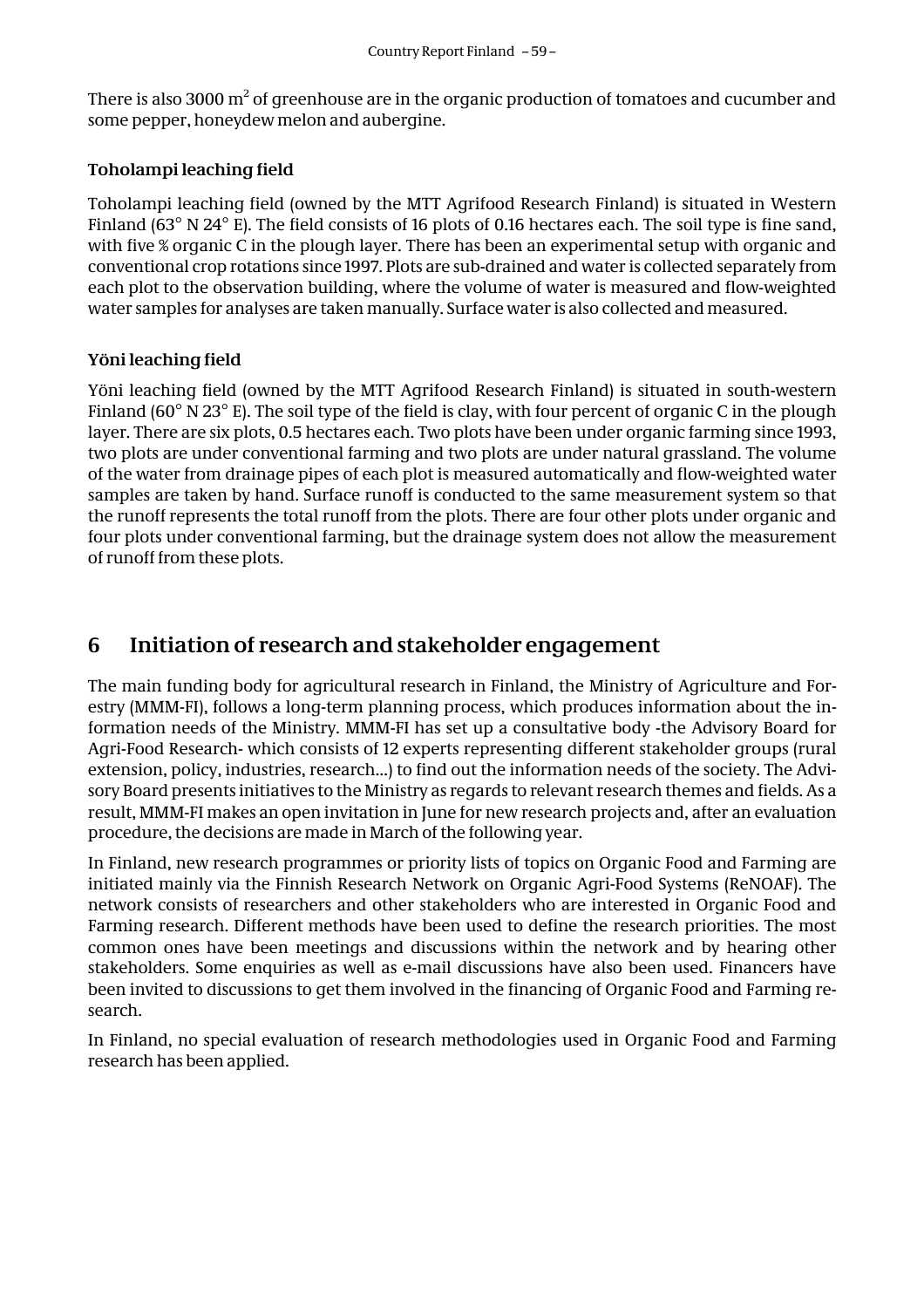There is also 3000  $\mathrm{m}^2$  of greenhouse are in the organic production of tomatoes and cucumber and some pepper, honeydew melon and aubergine.

#### **Toholampi leaching field**

Toholampi leaching field (owned by the MTT Agrifood Research Finland) is situated in Western Finland (63° N 24° E). The field consists of 16 plots of 0.16 hectares each. The soil type is fine sand, with five % organic C in the plough layer. There has been an experimental setup with organic and conventional crop rotations since 1997. Plots are sub-drained and water is collected separately from each plot to the observation building, where the volume of water is measured and flow-weighted water samples for analyses are taken manually. Surface water is also collected and measured.

#### **Yöni leaching field**

Yöni leaching field (owned by the MTT Agrifood Research Finland) is situated in south-western Finland (60° N 23° E). The soil type of the field is clay, with four percent of organic C in the plough layer. There are six plots, 0.5 hectares each. Two plots have been under organic farming since 1993, two plots are under conventional farming and two plots are under natural grassland. The volume of the water from drainage pipes of each plot is measured automatically and flow-weighted water samples are taken by hand. Surface runoff is conducted to the same measurement system so that the runoff represents the total runoff from the plots. There are four other plots under organic and four plots under conventional farming, but the drainage system does not allow the measurement of runoff from these plots.

## **6 Initiation of research and stakeholder engagement**

The main funding body for agricultural research in Finland, the Ministry of Agriculture and Forestry (MMM-FI), follows a long-term planning process, which produces information about the information needs of the Ministry. MMM-FI has set up a consultative body -the Advisory Board for Agri-Food Research- which consists of 12 experts representing different stakeholder groups (rural extension, policy, industries, research…) to find out the information needs of the society. The Advisory Board presents initiatives to the Ministry as regards to relevant research themes and fields. As a result, MMM-FI makes an open invitation in June for new research projects and, after an evaluation procedure, the decisions are made in March of the following year.

In Finland, new research programmes or priority lists of topics on Organic Food and Farming are initiated mainly via the Finnish Research Network on Organic Agri-Food Systems (ReNOAF). The network consists of researchers and other stakeholders who are interested in Organic Food and Farming research. Different methods have been used to define the research priorities. The most common ones have been meetings and discussions within the network and by hearing other stakeholders. Some enquiries as well as e-mail discussions have also been used. Financers have been invited to discussions to get them involved in the financing of Organic Food and Farming research.

In Finland, no special evaluation of research methodologies used in Organic Food and Farming research has been applied.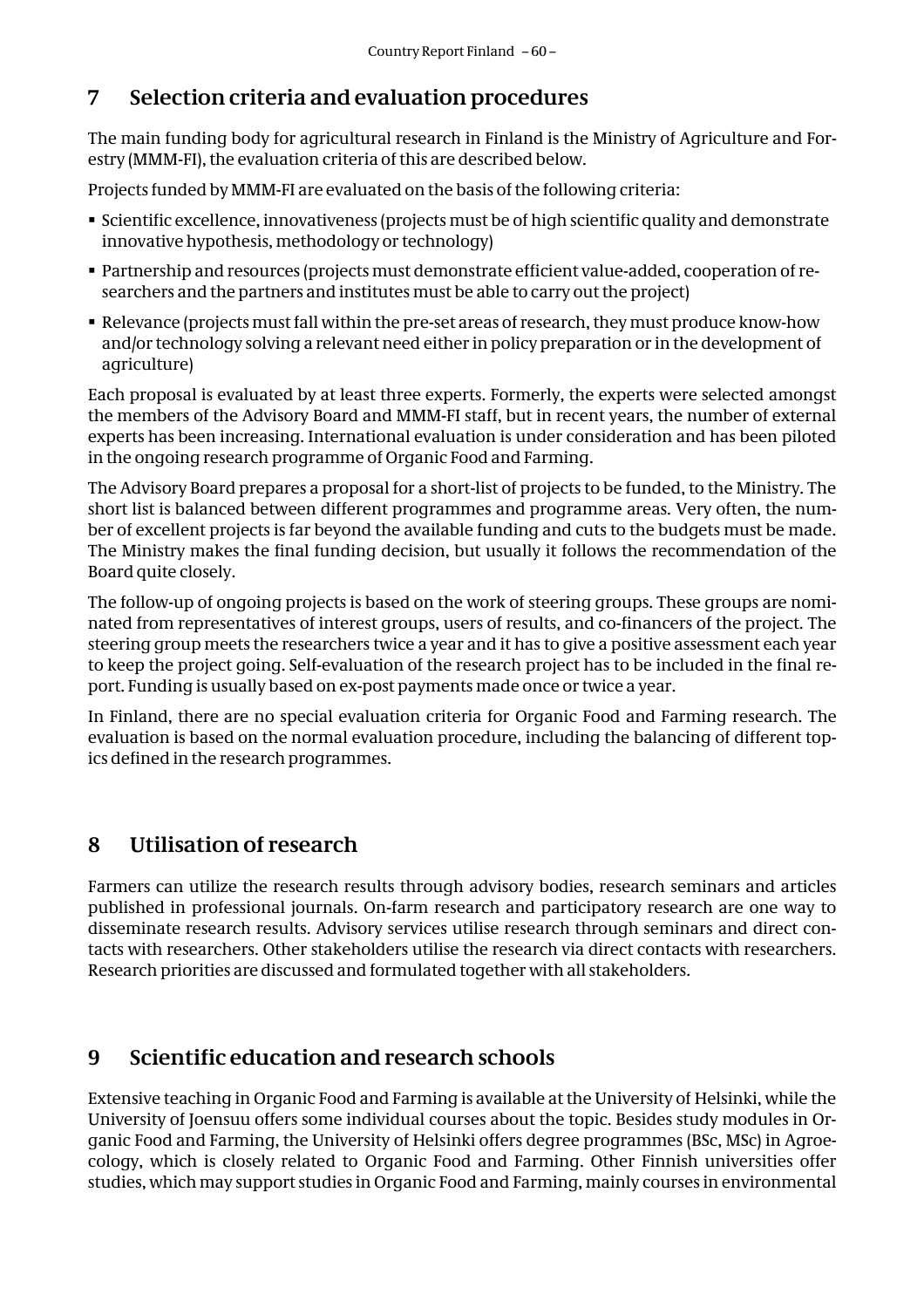# **7 Selection criteria and evaluation procedures**

The main funding body for agricultural research in Finland is the Ministry of Agriculture and Forestry (MMM-FI), the evaluation criteria of this are described below.

Projects funded by MMM-FI are evaluated on the basis of the following criteria:

- Scientific excellence, innovativeness (projects must be of high scientific quality and demonstrate innovative hypothesis, methodology or technology)
- Partnership and resources (projects must demonstrate efficient value-added, cooperation of researchers and the partners and institutes must be able to carry out the project)
- Relevance (projects must fall within the pre-set areas of research, they must produce know-how and/or technology solving a relevant need either in policy preparation or in the development of agriculture)

Each proposal is evaluated by at least three experts. Formerly, the experts were selected amongst the members of the Advisory Board and MMM-FI staff, but in recent years, the number of external experts has been increasing. International evaluation is under consideration and has been piloted in the ongoing research programme of Organic Food and Farming.

The Advisory Board prepares a proposal for a short-list of projects to be funded, to the Ministry. The short list is balanced between different programmes and programme areas. Very often, the number of excellent projects is far beyond the available funding and cuts to the budgets must be made. The Ministry makes the final funding decision, but usually it follows the recommendation of the Board quite closely.

The follow-up of ongoing projects is based on the work of steering groups. These groups are nominated from representatives of interest groups, users of results, and co-financers of the project. The steering group meets the researchers twice a year and it has to give a positive assessment each year to keep the project going. Self-evaluation of the research project has to be included in the final report. Funding is usually based on ex-post payments made once or twice a year.

In Finland, there are no special evaluation criteria for Organic Food and Farming research. The evaluation is based on the normal evaluation procedure, including the balancing of different topics defined in the research programmes.

# **8 Utilisation of research**

Farmers can utilize the research results through advisory bodies, research seminars and articles published in professional journals. On-farm research and participatory research are one way to disseminate research results. Advisory services utilise research through seminars and direct contacts with researchers. Other stakeholders utilise the research via direct contacts with researchers. Research priorities are discussed and formulated together with all stakeholders.

# **9 Scientific education and research schools**

Extensive teaching in Organic Food and Farming is available at the University of Helsinki, while the University of Joensuu offers some individual courses about the topic. Besides study modules in Organic Food and Farming, the University of Helsinki offers degree programmes (BSc, MSc) in Agroecology, which is closely related to Organic Food and Farming. Other Finnish universities offer studies, which may support studies in Organic Food and Farming, mainly courses in environmental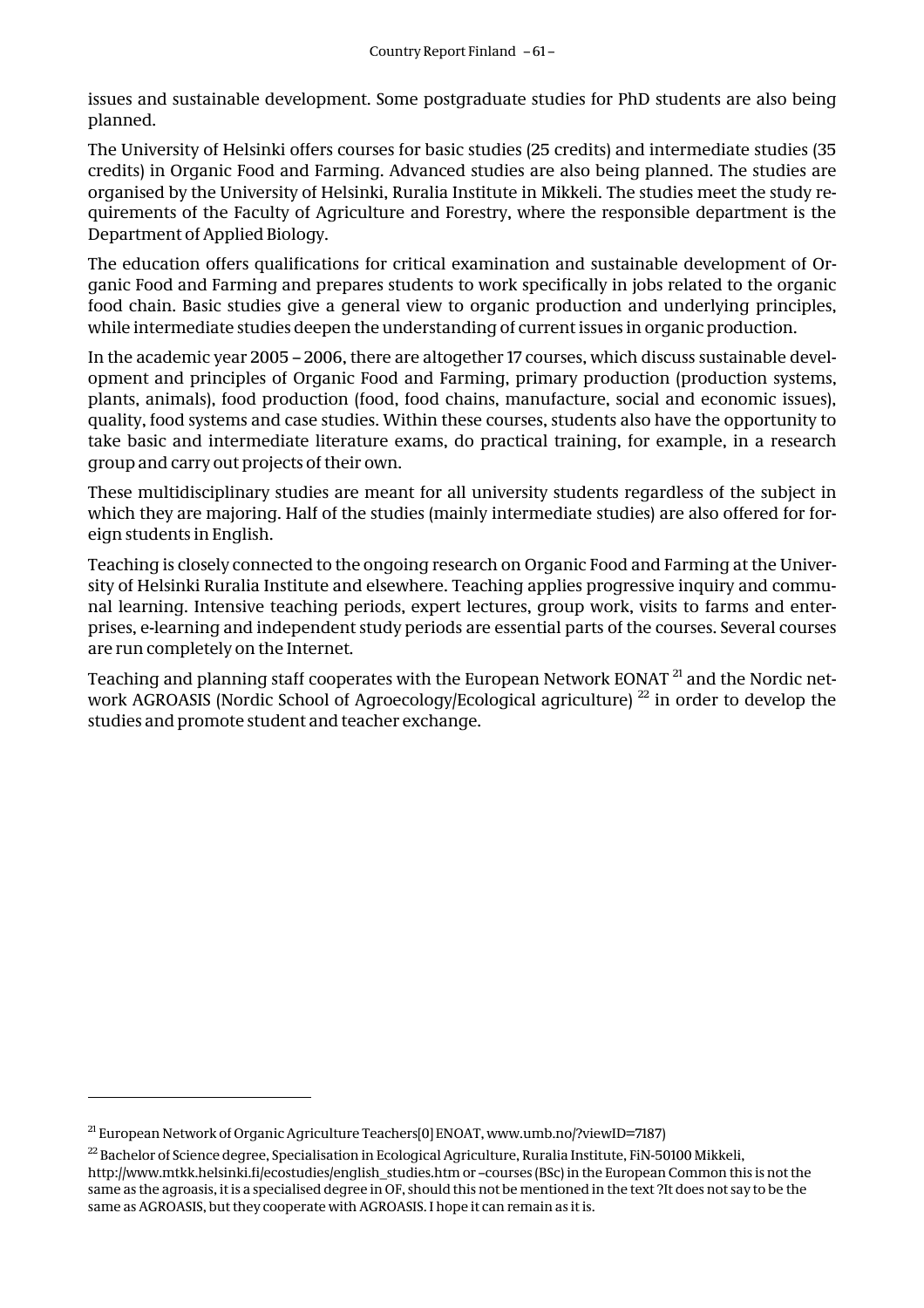issues and sustainable development. Some postgraduate studies for PhD students are also being planned.

The University of Helsinki offers courses for basic studies (25 credits) and intermediate studies (35 credits) in Organic Food and Farming. Advanced studies are also being planned. The studies are organised by the University of Helsinki, Ruralia Institute in Mikkeli. The studies meet the study requirements of the Faculty of Agriculture and Forestry, where the responsible department is the Department of Applied Biology.

The education offers qualifications for critical examination and sustainable development of Organic Food and Farming and prepares students to work specifically in jobs related to the organic food chain. Basic studies give a general view to organic production and underlying principles, while intermediate studies deepen the understanding of current issues in organic production.

In the academic year 2005 – 2006, there are altogether 17 courses, which discuss sustainable development and principles of Organic Food and Farming, primary production (production systems, plants, animals), food production (food, food chains, manufacture, social and economic issues), quality, food systems and case studies. Within these courses, students also have the opportunity to take basic and intermediate literature exams, do practical training, for example, in a research group and carry out projects of their own.

These multidisciplinary studies are meant for all university students regardless of the subject in which they are majoring. Half of the studies (mainly intermediate studies) are also offered for foreign students in English.

Teaching is closely connected to the ongoing research on Organic Food and Farming at the University of Helsinki Ruralia Institute and elsewhere. Teaching applies progressive inquiry and communal learning. Intensive teaching periods, expert lectures, group work, visits to farms and enterprises, e-learning and independent study periods are essential parts of the courses. Several courses are run completely on the Internet.

Teaching and planning staff cooperates with the European Network EONAT<sup>21</sup> and the Nordic network AGROASIS (Nordic School of Agroecology/Ecological agriculture)<sup>22</sup> in order to develop the studies and promote student and teacher exchange.

 $\overline{a}$ 

<sup>21</sup> European Network of Organic Agriculture Teachers[0] ENOAT, www.umb.no/?viewID=7187)

<sup>&</sup>lt;sup>22</sup> Bachelor of Science degree, Specialisation in Ecological Agriculture, Ruralia Institute, FiN-50100 Mikkeli, http://www.mtkk.helsinki.fi/ecostudies/english\_studies.htm or –courses (BSc) in the European Common this is not the same as the agroasis, it is a specialised degree in OF, should this not be mentioned in the text ?It does not say to be the same as AGROASIS, but they cooperate with AGROASIS. I hope it can remain as it is.